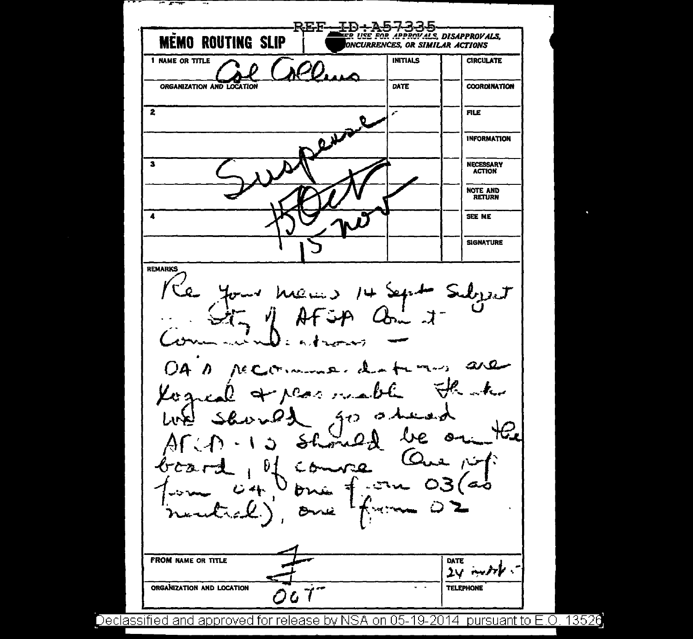REF-エロー **MĒMO ROUTING SLIP** er use for approvals, disapprovals,<br>foncurrences, or similar actions **INITIALS** 1 NAME OR TITLE **CIRCULATE** ORGANIZATION AND LOCATION DATE **COORDINATION**  $\overline{2}$ **FILE INFORMATION**  $\overline{\mathbf{a}}$ **NECESSARY ACTION** NOTE AND  $\overline{\mathbf{A}}$ SEE ME **SIGNATURE REMARKS**  $14$  Sept : Subject  $ax$ ስረ የ  $\boldsymbol{\cdot \cdot \cdot}$ ر جم  $512$  $\tilde{\phantom{a}}$ **The Section Company** Nè. **FROM NAME OR TITLE** DATE  $24$  metric ORGANIZATION AND LOCATION  $\sim$   $\sim$ **TELEPHONE** Δ

Ŧ

Ξ.

Declassified and approved for release by NSA on 05-19-2014 pursuant to E.O. 13526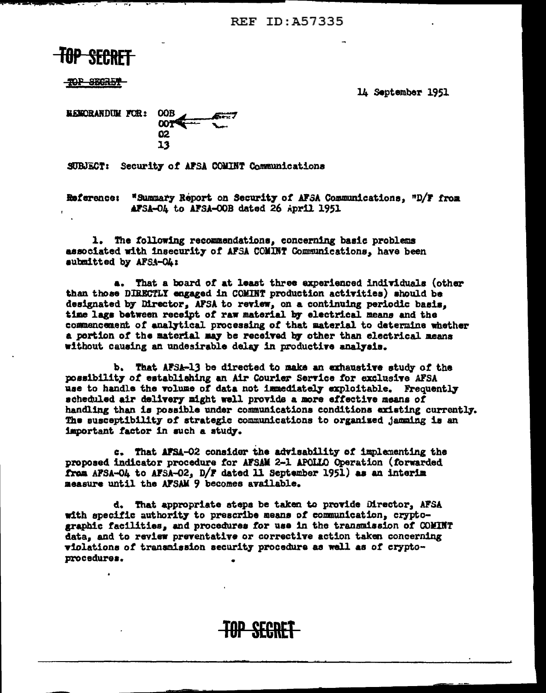**REF ID: A57335** 

TOP SEGRET

14 September 1951

**OOB MEMORANDUM FOR: DOT** 02 13

SUBJECT: Security of AFSA COMINT Communications

Reference: "Summary Report on Security of AFSA Communications, "D/F from AFSA-04 to AFSA-00B dated 26 April 1951

1. The following recommendations, concerning basic problems associated with insecurity of AFSA COMINT Communications. have been aubmitted by AFSA-OL:

That a board of at least three experienced individuals (other a. than those DIRECTLY engaged in COMINT production activities) should be designated by Director, AFSA to review, on a continuing periodic basis, time lags between receipt of raw material by electrical means and the commencement of analytical processing of that material to determine whether a portion of the material may be received by other than electrical means without causing an undesirable delay in productive analysis.

b. That AFSA-13 be directed to make an exhaustive study of the possibility of establishing an Air Courier Service for exclusive AFSA use to handle the volume of data not immediately exploitable. Frequently scheduled air delivery might well provide a more effective means of handling than is possible under communications conditions existing currently. The susceptibility of strategic communications to organized jamming is an important factor in such a study.

c. That AFSA-02 consider the advisability of implementing the proposed indicator procedure for AFSAM 2-1 APOLLO Operation (forwarded from AFSA-O4 to AFSA-O2, D/F dated 11 September 1951) as an interim measure until the AFSAM 9 becomes available.

d. That appropriate steps be taken to provide Director, AFSA with specific authority to prescribe means of communication, cryptographic facilities, and procedures for use in the transmission of COMINT data, and to review preventative or corrective action taken concerning violations of transmission security procedure as well as of cryptoprocedures.